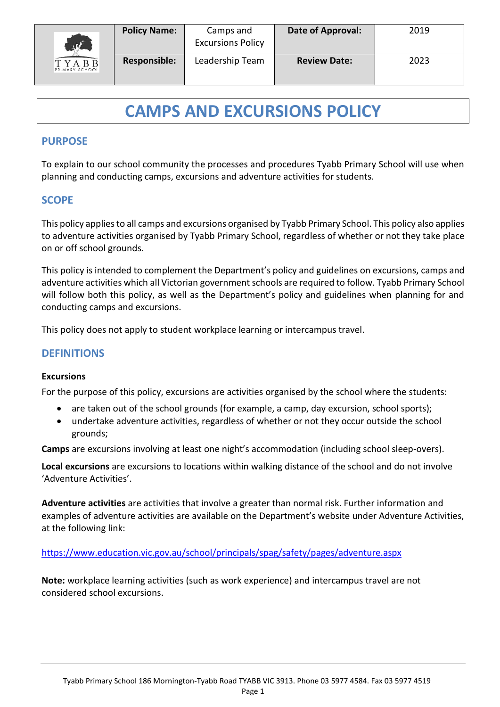

# **CAMPS AND EXCURSIONS POLICY**

# **PURPOSE**

To explain to our school community the processes and procedures Tyabb Primary School will use when planning and conducting camps, excursions and adventure activities for students.

# **SCOPE**

This policy applies to all camps and excursions organised by Tyabb Primary School. This policy also applies to adventure activities organised by Tyabb Primary School, regardless of whether or not they take place on or off school grounds.

This policy is intended to complement the Department's policy and guidelines on excursions, camps and adventure activities which all Victorian government schools are required to follow. Tyabb Primary School will follow both this policy, as well as the Department's policy and guidelines when planning for and conducting camps and excursions.

This policy does not apply to student workplace learning or intercampus travel.

## **DEFINITIONS**

#### **Excursions**

For the purpose of this policy, excursions are activities organised by the school where the students:

- are taken out of the school grounds (for example, a camp, day excursion, school sports);
- undertake adventure activities, regardless of whether or not they occur outside the school grounds;

**Camps** are excursions involving at least one night's accommodation (including school sleep-overs).

**Local excursions** are excursions to locations within walking distance of the school and do not involve 'Adventure Activities'.

**Adventure activities** are activities that involve a greater than normal risk. Further information and examples of adventure activities are available on the Department's website under Adventure Activities, at the following link:

### <https://www.education.vic.gov.au/school/principals/spag/safety/pages/adventure.aspx>

**Note:** workplace learning activities (such as work experience) and intercampus travel are not considered school excursions.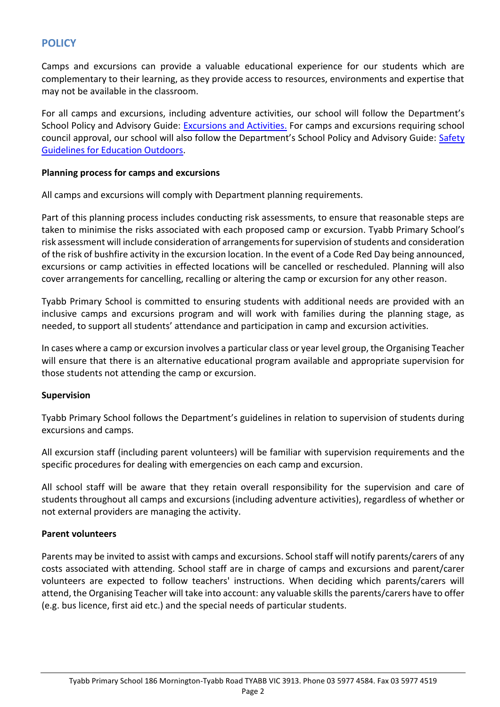# **POLICY**

Camps and excursions can provide a valuable educational experience for our students which are complementary to their learning, as they provide access to resources, environments and expertise that may not be available in the classroom.

For all camps and excursions, including adventure activities, our school will follow the Department's School Policy and Advisory Guide: [Excursions and Activities.](http://www.education.vic.gov.au/school/principals/spag/safety/pages/excursions.aspx) For camps and excursions requiring school council approval, our school will also follow the Department's School Policy and Advisory Guide: Safety [Guidelines for Education Outdoors.](https://www.education.vic.gov.au/school/teachers/studentmanagement/excursions/Pages/outdoorguidelines.aspx)

#### **Planning process for camps and excursions**

All camps and excursions will comply with Department planning requirements.

Part of this planning process includes conducting risk assessments, to ensure that reasonable steps are taken to minimise the risks associated with each proposed camp or excursion. Tyabb Primary School's risk assessment will include consideration of arrangements for supervision of students and consideration of the risk of bushfire activity in the excursion location. In the event of a Code Red Day being announced, excursions or camp activities in effected locations will be cancelled or rescheduled. Planning will also cover arrangements for cancelling, recalling or altering the camp or excursion for any other reason.

Tyabb Primary School is committed to ensuring students with additional needs are provided with an inclusive camps and excursions program and will work with families during the planning stage, as needed, to support all students' attendance and participation in camp and excursion activities.

In cases where a camp or excursion involves a particular class or year level group, the Organising Teacher will ensure that there is an alternative educational program available and appropriate supervision for those students not attending the camp or excursion.

#### **Supervision**

Tyabb Primary School follows the Department's guidelines in relation to supervision of students during excursions and camps.

All excursion staff (including parent volunteers) will be familiar with supervision requirements and the specific procedures for dealing with emergencies on each camp and excursion.

All school staff will be aware that they retain overall responsibility for the supervision and care of students throughout all camps and excursions (including adventure activities), regardless of whether or not external providers are managing the activity.

#### **Parent volunteers**

Parents may be invited to assist with camps and excursions. School staff will notify parents/carers of any costs associated with attending. School staff are in charge of camps and excursions and parent/carer volunteers are expected to follow teachers' instructions. When deciding which parents/carers will attend, the Organising Teacher will take into account: any valuable skills the parents/carers have to offer (e.g. bus licence, first aid etc.) and the special needs of particular students.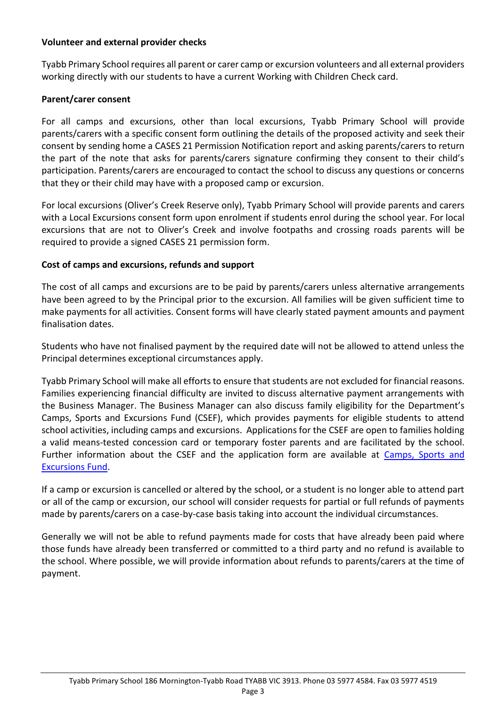### **Volunteer and external provider checks**

Tyabb Primary School requires all parent or carer camp or excursion volunteers and all external providers working directly with our students to have a current Working with Children Check card.

## **Parent/carer consent**

For all camps and excursions, other than local excursions, Tyabb Primary School will provide parents/carers with a specific consent form outlining the details of the proposed activity and seek their consent by sending home a CASES 21 Permission Notification report and asking parents/carers to return the part of the note that asks for parents/carers signature confirming they consent to their child's participation. Parents/carers are encouraged to contact the school to discuss any questions or concerns that they or their child may have with a proposed camp or excursion.

For local excursions (Oliver's Creek Reserve only), Tyabb Primary School will provide parents and carers with a Local Excursions consent form upon enrolment if students enrol during the school year. For local excursions that are not to Oliver's Creek and involve footpaths and crossing roads parents will be required to provide a signed CASES 21 permission form.

## **Cost of camps and excursions, refunds and support**

The cost of all camps and excursions are to be paid by parents/carers unless alternative arrangements have been agreed to by the Principal prior to the excursion. All families will be given sufficient time to make payments for all activities. Consent forms will have clearly stated payment amounts and payment finalisation dates.

Students who have not finalised payment by the required date will not be allowed to attend unless the Principal determines exceptional circumstances apply.

Tyabb Primary School will make all efforts to ensure that students are not excluded for financial reasons. Families experiencing financial difficulty are invited to discuss alternative payment arrangements with the Business Manager. The Business Manager can also discuss family eligibility for the Department's Camps, Sports and Excursions Fund (CSEF), which provides payments for eligible students to attend school activities, including camps and excursions. Applications for the CSEF are open to families holding a valid means-tested concession card or temporary foster parents and are facilitated by the school. Further information about the CSEF and the application form are available at [Camps, Sports and](http://www.education.vic.gov.au/about/programs/Pages/csef.aspx)  [Excursions Fund.](http://www.education.vic.gov.au/about/programs/Pages/csef.aspx)

If a camp or excursion is cancelled or altered by the school, or a student is no longer able to attend part or all of the camp or excursion, our school will consider requests for partial or full refunds of payments made by parents/carers on a case-by-case basis taking into account the individual circumstances.

Generally we will not be able to refund payments made for costs that have already been paid where those funds have already been transferred or committed to a third party and no refund is available to the school. Where possible, we will provide information about refunds to parents/carers at the time of payment.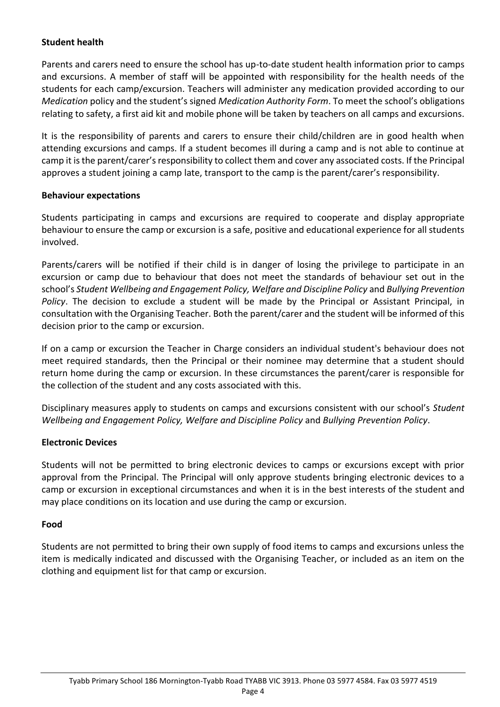### **Student health**

Parents and carers need to ensure the school has up-to-date student health information prior to camps and excursions. A member of staff will be appointed with responsibility for the health needs of the students for each camp/excursion. Teachers will administer any medication provided according to our *Medication* policy and the student's signed *Medication Authority Form*. To meet the school's obligations relating to safety, a first aid kit and mobile phone will be taken by teachers on all camps and excursions.

It is the responsibility of parents and carers to ensure their child/children are in good health when attending excursions and camps. If a student becomes ill during a camp and is not able to continue at camp it is the parent/carer's responsibility to collect them and cover any associated costs. If the Principal approves a student joining a camp late, transport to the camp is the parent/carer's responsibility.

### **Behaviour expectations**

Students participating in camps and excursions are required to cooperate and display appropriate behaviour to ensure the camp or excursion is a safe, positive and educational experience for all students involved.

Parents/carers will be notified if their child is in danger of losing the privilege to participate in an excursion or camp due to behaviour that does not meet the standards of behaviour set out in the school's *Student Wellbeing and Engagement Policy, Welfare and Discipline Policy* and *Bullying Prevention Policy*. The decision to exclude a student will be made by the Principal or Assistant Principal, in consultation with the Organising Teacher. Both the parent/carer and the student will be informed of this decision prior to the camp or excursion.

If on a camp or excursion the Teacher in Charge considers an individual student's behaviour does not meet required standards, then the Principal or their nominee may determine that a student should return home during the camp or excursion. In these circumstances the parent/carer is responsible for the collection of the student and any costs associated with this.

Disciplinary measures apply to students on camps and excursions consistent with our school's *Student Wellbeing and Engagement Policy, Welfare and Discipline Policy* and *Bullying Prevention Policy*.

### **Electronic Devices**

Students will not be permitted to bring electronic devices to camps or excursions except with prior approval from the Principal. The Principal will only approve students bringing electronic devices to a camp or excursion in exceptional circumstances and when it is in the best interests of the student and may place conditions on its location and use during the camp or excursion.

### **Food**

Students are not permitted to bring their own supply of food items to camps and excursions unless the item is medically indicated and discussed with the Organising Teacher, or included as an item on the clothing and equipment list for that camp or excursion.